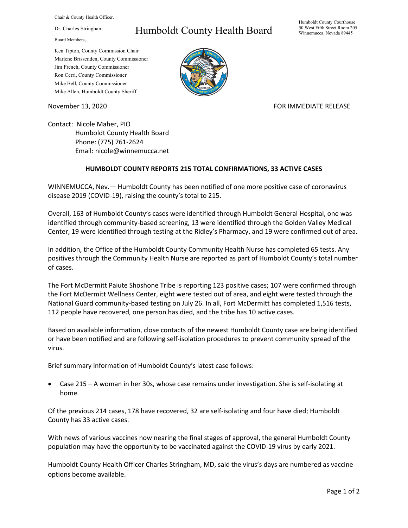Chair & County Health Officer,

Dr. Charles Stringham

Board Members,

## Humboldt County Health Board

Humboldt County Courthouse 50 West Fifth Street Room 205 Winnemucca, Nevada 89445

Ken Tipton, County Commission Chair Marlene Brissenden, County Commissioner Jim French, County Commissioner Ron Cerri, County Commissioner Mike Bell, County Commissioner Mike Allen, Humboldt County Sheriff

November 13, 2020 **FOR IMMEDIATE RELEASE** 

Contact: Nicole Maher, PIO Humboldt County Health Board Phone: (775) 761-2624 Email: nicole@winnemucca.net

## **HUMBOLDT COUNTY REPORTS 215 TOTAL CONFIRMATIONS, 33 ACTIVE CASES**

WINNEMUCCA, Nev.— Humboldt County has been notified of one more positive case of coronavirus disease 2019 (COVID-19), raising the county's total to 215.

Overall, 163 of Humboldt County's cases were identified through Humboldt General Hospital, one was identified through community-based screening, 13 were identified through the Golden Valley Medical Center, 19 were identified through testing at the Ridley's Pharmacy, and 19 were confirmed out of area.

In addition, the Office of the Humboldt County Community Health Nurse has completed 65 tests. Any positives through the Community Health Nurse are reported as part of Humboldt County's total number of cases.

The Fort McDermitt Paiute Shoshone Tribe is reporting 123 positive cases; 107 were confirmed through the Fort McDermitt Wellness Center, eight were tested out of area, and eight were tested through the National Guard community-based testing on July 26. In all, Fort McDermitt has completed 1,516 tests, 112 people have recovered, one person has died, and the tribe has 10 active cases.

Based on available information, close contacts of the newest Humboldt County case are being identified or have been notified and are following self-isolation procedures to prevent community spread of the virus.

Brief summary information of Humboldt County's latest case follows:

• Case 215 – A woman in her 30s, whose case remains under investigation. She is self-isolating at home.

Of the previous 214 cases, 178 have recovered, 32 are self-isolating and four have died; Humboldt County has 33 active cases.

With news of various vaccines now nearing the final stages of approval, the general Humboldt County population may have the opportunity to be vaccinated against the COVID-19 virus by early 2021.

Humboldt County Health Officer Charles Stringham, MD, said the virus's days are numbered as vaccine options become available.